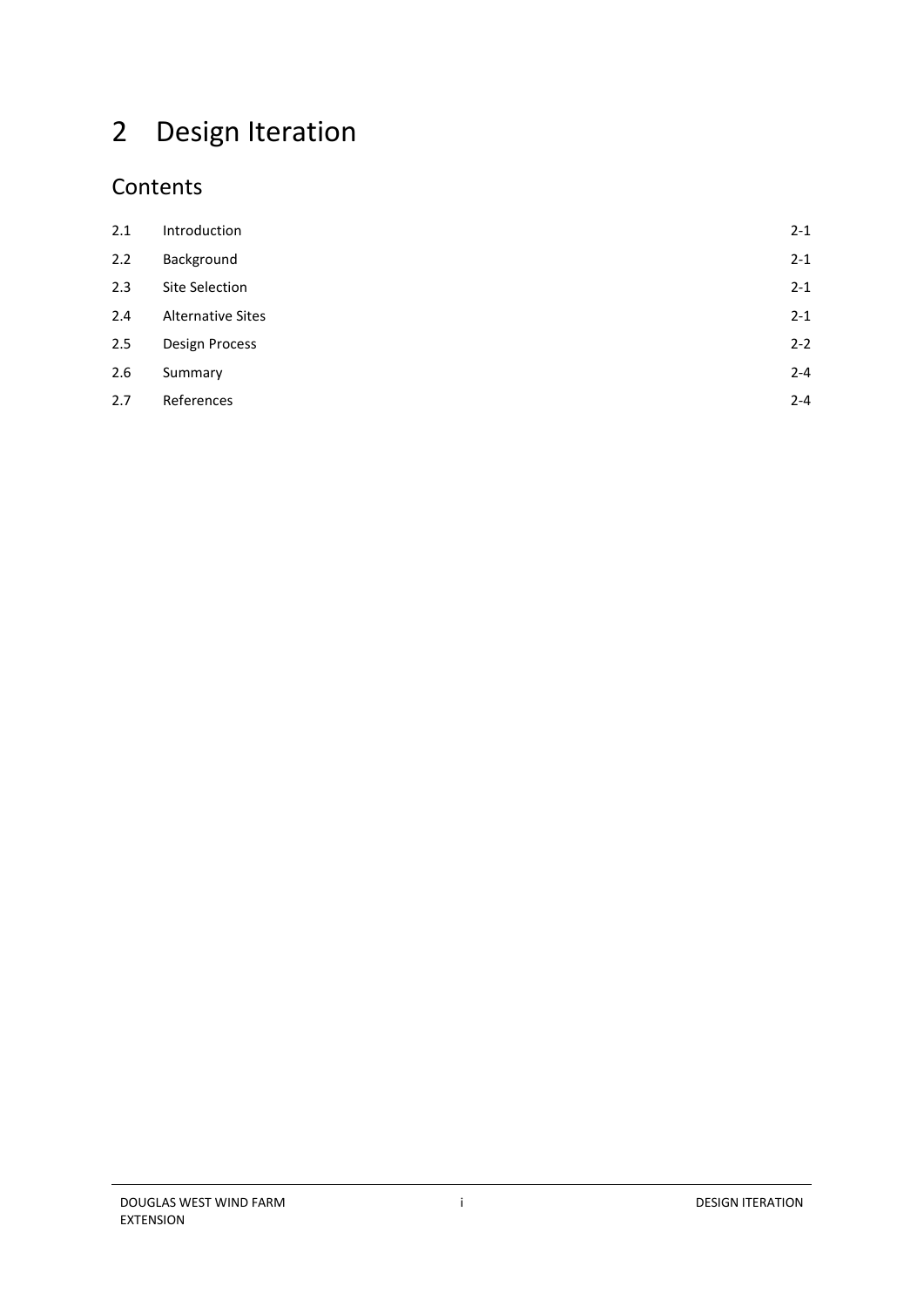# 2 Design Iteration

## **Contents**

| 2.1 | Introduction             | $2 - 1$ |
|-----|--------------------------|---------|
| 2.2 | Background               | $2 - 1$ |
| 2.3 | Site Selection           | $2 - 1$ |
| 2.4 | <b>Alternative Sites</b> | $2 - 1$ |
| 2.5 | Design Process           | $2 - 2$ |
| 2.6 | Summary                  | $2 - 4$ |
| 2.7 | References               | $2 - 4$ |
|     |                          |         |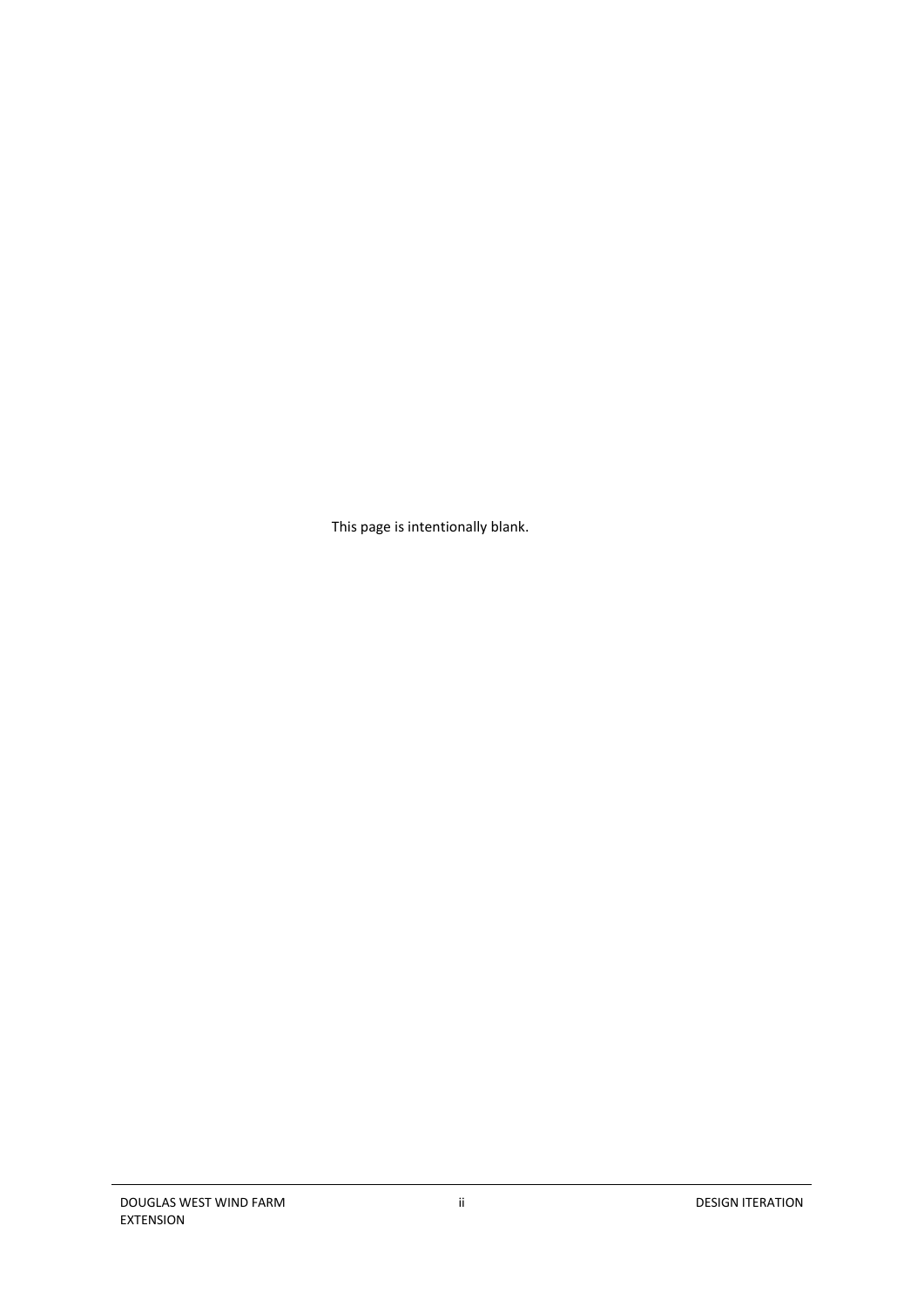This page is intentionally blank.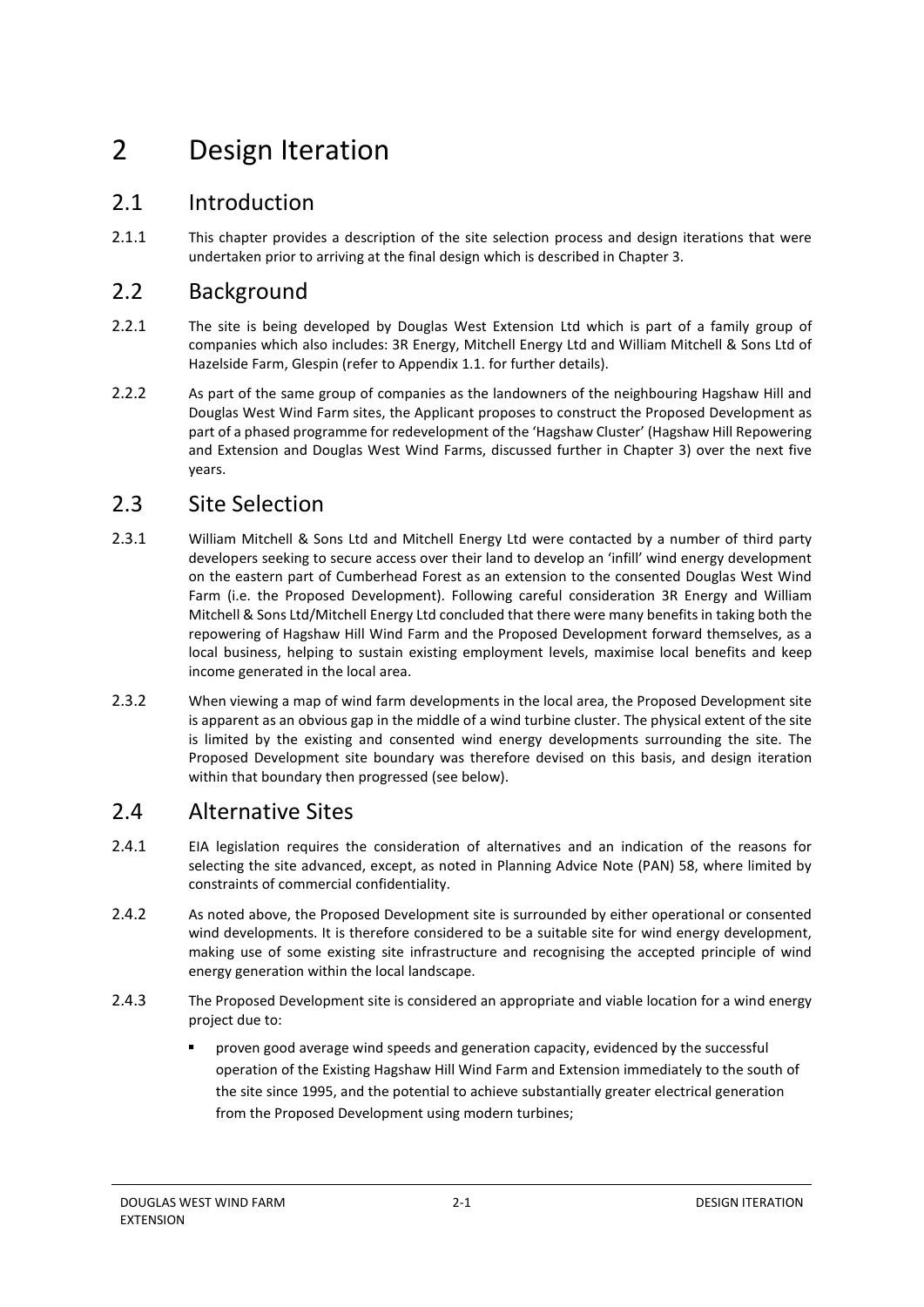## 2 Design Iteration

## <span id="page-2-0"></span>2.1 Introduction

2.1.1 This chapter provides a description of the site selection process and design iterations that were undertaken prior to arriving at the final design which is described in Chapter 3.

## <span id="page-2-1"></span>2.2 Background

- 2.2.1 The site is being developed by Douglas West Extension Ltd which is part of a family group of companies which also includes: 3R Energy, Mitchell Energy Ltd and William Mitchell & Sons Ltd of Hazelside Farm, Glespin (refer to Appendix 1.1. for further details).
- 2.2.2 As part of the same group of companies as the landowners of the neighbouring Hagshaw Hill and Douglas West Wind Farm sites, the Applicant proposes to construct the Proposed Development as part of a phased programme for redevelopment of the 'Hagshaw Cluster' (Hagshaw Hill Repowering and Extension and Douglas West Wind Farms, discussed further in Chapter 3) over the next five years.

## <span id="page-2-2"></span>2.3 Site Selection

- 2.3.1 William Mitchell & Sons Ltd and Mitchell Energy Ltd were contacted by a number of third party developers seeking to secure access over their land to develop an 'infill' wind energy development on the eastern part of Cumberhead Forest as an extension to the consented Douglas West Wind Farm (i.e. the Proposed Development). Following careful consideration 3R Energy and William Mitchell & Sons Ltd/Mitchell Energy Ltd concluded that there were many benefits in taking both the repowering of Hagshaw Hill Wind Farm and the Proposed Development forward themselves, as a local business, helping to sustain existing employment levels, maximise local benefits and keep income generated in the local area.
- 2.3.2 When viewing a map of wind farm developments in the local area, the Proposed Development site is apparent as an obvious gap in the middle of a wind turbine cluster. The physical extent of the site is limited by the existing and consented wind energy developments surrounding the site. The Proposed Development site boundary was therefore devised on this basis, and design iteration within that boundary then progressed (see below).

## <span id="page-2-3"></span>2.4 Alternative Sites

- 2.4.1 EIA legislation requires the consideration of alternatives and an indication of the reasons for selecting the site advanced, except, as noted in Planning Advice Note (PAN) 58, where limited by constraints of commercial confidentiality.
- 2.4.2 As noted above, the Proposed Development site is surrounded by either operational or consented wind developments. It is therefore considered to be a suitable site for wind energy development, making use of some existing site infrastructure and recognising the accepted principle of wind energy generation within the local landscape.
- 2.4.3 The Proposed Development site is considered an appropriate and viable location for a wind energy project due to:
	- proven good average wind speeds and generation capacity, evidenced by the successful operation of the Existing Hagshaw Hill Wind Farm and Extension immediately to the south of the site since 1995, and the potential to achieve substantially greater electrical generation from the Proposed Development using modern turbines;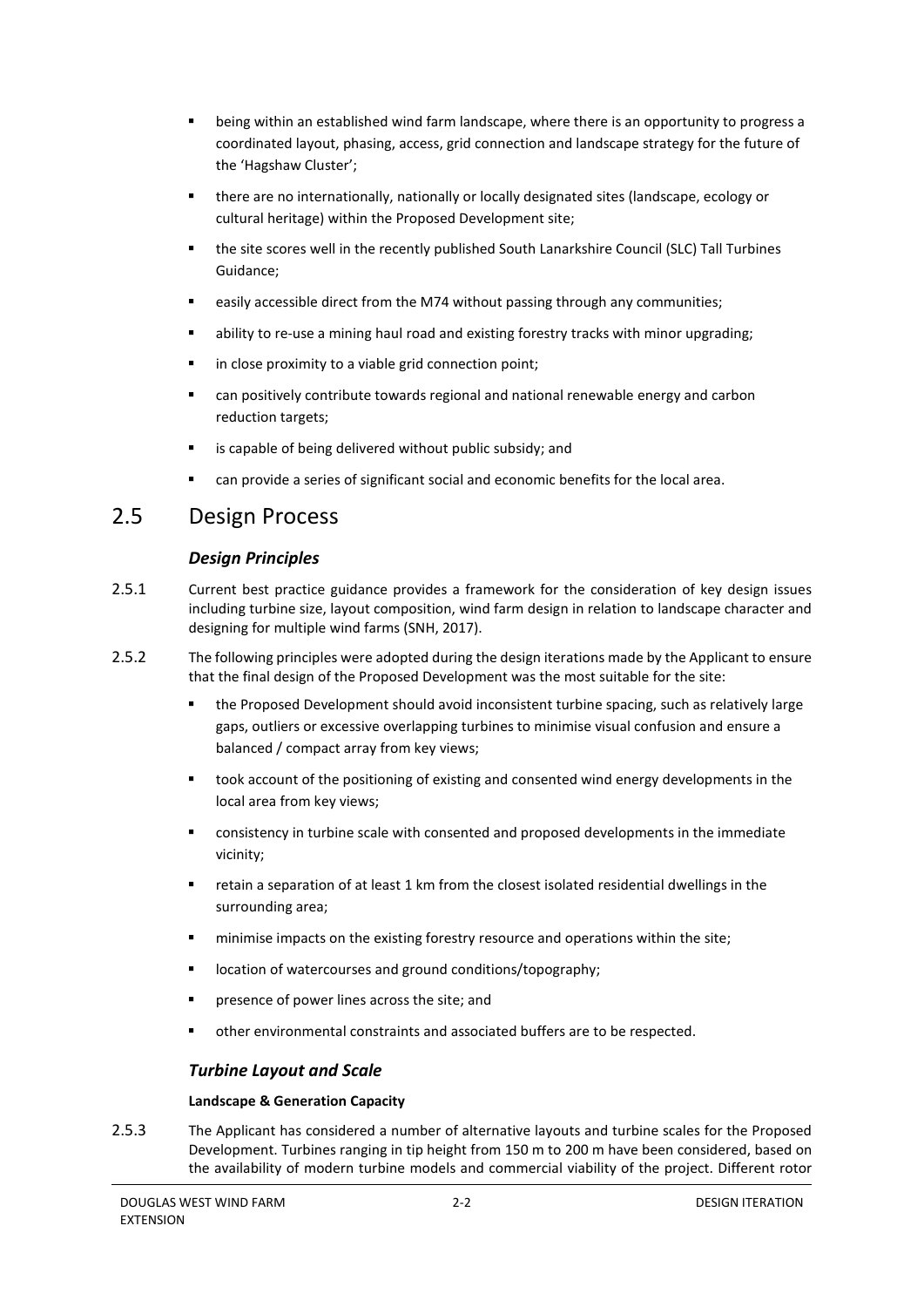- being within an established wind farm landscape, where there is an opportunity to progress a coordinated layout, phasing, access, grid connection and landscape strategy for the future of the 'Hagshaw Cluster';
- there are no internationally, nationally or locally designated sites (landscape, ecology or cultural heritage) within the Proposed Development site;
- the site scores well in the recently published South Lanarkshire Council (SLC) Tall Turbines Guidance;
- **EXEC** easily accessible direct from the M74 without passing through any communities;
- ability to re-use a mining haul road and existing forestry tracks with minor upgrading;
- **i** in close proximity to a viable grid connection point;
- can positively contribute towards regional and national renewable energy and carbon reduction targets;
- **E** is capable of being delivered without public subsidy; and
- can provide a series of significant social and economic benefits for the local area.

### <span id="page-3-0"></span>2.5 Design Process

#### *Design Principles*

- 2.5.1 Current best practice guidance provides a framework for the consideration of key design issues including turbine size, layout composition, wind farm design in relation to landscape character and designing for multiple wind farms (SNH, 2017).
- 2.5.2 The following principles were adopted during the design iterations made by the Applicant to ensure that the final design of the Proposed Development was the most suitable for the site:
	- the Proposed Development should avoid inconsistent turbine spacing, such as relatively large gaps, outliers or excessive overlapping turbines to minimise visual confusion and ensure a balanced / compact array from key views;
	- took account of the positioning of existing and consented wind energy developments in the local area from key views;
	- consistency in turbine scale with consented and proposed developments in the immediate vicinity;
	- retain a separation of at least 1 km from the closest isolated residential dwellings in the surrounding area;
	- minimise impacts on the existing forestry resource and operations within the site;
	- **EXECTE:** location of watercourses and ground conditions/topography;
	- **Philter 2** presence of power lines across the site; and
	- other environmental constraints and associated buffers are to be respected.

#### *Turbine Layout and Scale*

#### **Landscape & Generation Capacity**

2.5.3 The Applicant has considered a number of alternative layouts and turbine scales for the Proposed Development. Turbines ranging in tip height from 150 m to 200 m have been considered, based on the availability of modern turbine models and commercial viability of the project. Different rotor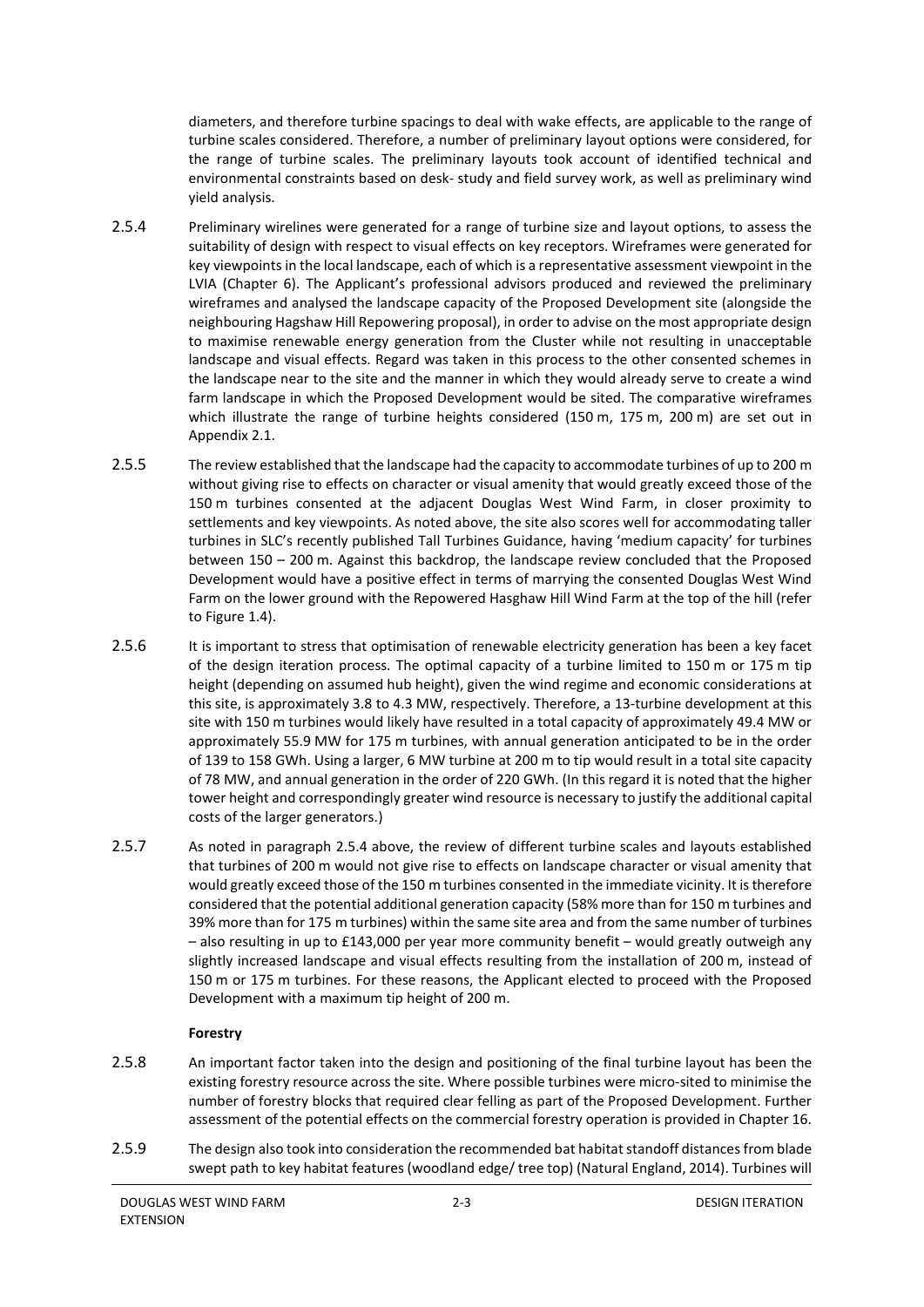diameters, and therefore turbine spacings to deal with wake effects, are applicable to the range of turbine scales considered. Therefore, a number of preliminary layout options were considered, for the range of turbine scales. The preliminary layouts took account of identified technical and environmental constraints based on desk- study and field survey work, as well as preliminary wind yield analysis.

- 2.5.4 Preliminary wirelines were generated for a range of turbine size and layout options, to assess the suitability of design with respect to visual effects on key receptors. Wireframes were generated for key viewpoints in the local landscape, each of which is a representative assessment viewpoint in the LVIA (Chapter 6). The Applicant's professional advisors produced and reviewed the preliminary wireframes and analysed the landscape capacity of the Proposed Development site (alongside the neighbouring Hagshaw Hill Repowering proposal), in order to advise on the most appropriate design to maximise renewable energy generation from the Cluster while not resulting in unacceptable landscape and visual effects. Regard was taken in this process to the other consented schemes in the landscape near to the site and the manner in which they would already serve to create a wind farm landscape in which the Proposed Development would be sited. The comparative wireframes which illustrate the range of turbine heights considered (150 m, 175 m, 200 m) are set out in Appendix 2.1.
- 2.5.5 The review established that the landscape had the capacity to accommodate turbines of up to 200 m without giving rise to effects on character or visual amenity that would greatly exceed those of the 150 m turbines consented at the adjacent Douglas West Wind Farm, in closer proximity to settlements and key viewpoints. As noted above, the site also scores well for accommodating taller turbines in SLC's recently published Tall Turbines Guidance, having 'medium capacity' for turbines between 150 – 200 m. Against this backdrop, the landscape review concluded that the Proposed Development would have a positive effect in terms of marrying the consented Douglas West Wind Farm on the lower ground with the Repowered Hasghaw Hill Wind Farm at the top of the hill (refer to Figure 1.4).
- 2.5.6 It is important to stress that optimisation of renewable electricity generation has been a key facet of the design iteration process. The optimal capacity of a turbine limited to 150 m or 175 m tip height (depending on assumed hub height), given the wind regime and economic considerations at this site, is approximately 3.8 to 4.3 MW, respectively. Therefore, a 13-turbine development at this site with 150 m turbines would likely have resulted in a total capacity of approximately 49.4 MW or approximately 55.9 MW for 175 m turbines, with annual generation anticipated to be in the order of 139 to 158 GWh. Using a larger, 6 MW turbine at 200 m to tip would result in a total site capacity of 78 MW, and annual generation in the order of 220 GWh. (In this regard it is noted that the higher tower height and correspondingly greater wind resource is necessary to justify the additional capital costs of the larger generators.)
- 2.5.7 As noted in paragraph 2.5.4 above, the review of different turbine scales and layouts established that turbines of 200 m would not give rise to effects on landscape character or visual amenity that would greatly exceed those of the 150 m turbines consented in the immediate vicinity. It is therefore considered that the potential additional generation capacity (58% more than for 150 m turbines and 39% more than for 175 m turbines) within the same site area and from the same number of turbines – also resulting in up to £143,000 per year more community benefit – would greatly outweigh any slightly increased landscape and visual effects resulting from the installation of 200 m, instead of 150 m or 175 m turbines. For these reasons, the Applicant elected to proceed with the Proposed Development with a maximum tip height of 200 m.

#### **Forestry**

- 2.5.8 An important factor taken into the design and positioning of the final turbine layout has been the existing forestry resource across the site. Where possible turbines were micro-sited to minimise the number of forestry blocks that required clear felling as part of the Proposed Development. Further assessment of the potential effects on the commercial forestry operation is provided in Chapter 16.
- 2.5.9 The design also took into consideration the recommended bat habitat standoff distances from blade swept path to key habitat features (woodland edge/ tree top) (Natural England, 2014). Turbines will